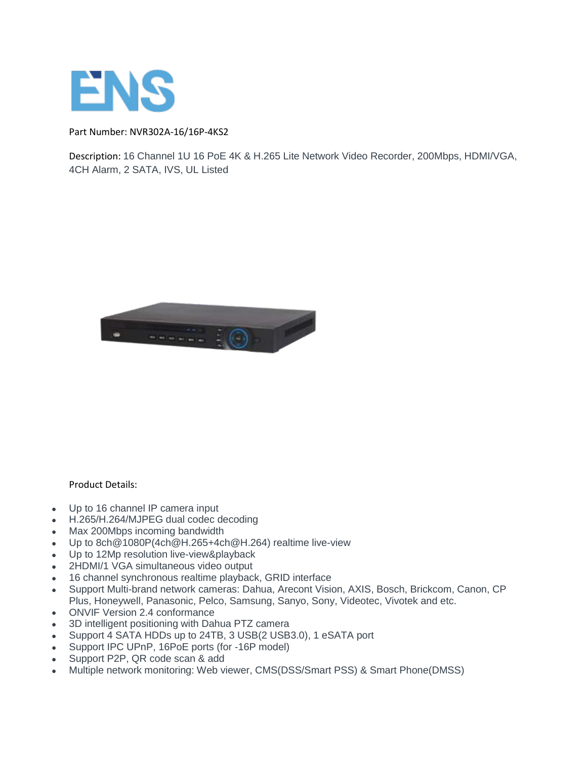

Part Number: NVR302A-16/16P-4KS2

Description: 16 Channel 1U 16 PoE 4K & H.265 Lite Network Video Recorder, 200Mbps, HDMI/VGA, 4CH Alarm, 2 SATA, IVS, UL Listed



## Product Details:

- Up to 16 channel IP camera input
- H.265/H.264/MJPEG dual codec decoding
- Max 200Mbps incoming bandwidth
- Up to 8ch@1080P(4ch@H.265+4ch@H.264) realtime live-view
- Up to 12Mp resolution live-view&playback
- 2HDMI/1 VGA simultaneous video output
- 16 channel synchronous realtime playback, GRID interface
- Support Multi-brand network cameras: Dahua, Arecont Vision, AXIS, Bosch, Brickcom, Canon, CP Plus, Honeywell, Panasonic, Pelco, Samsung, Sanyo, Sony, Videotec, Vivotek and etc.
- ONVIF Version 2.4 conformance
- 3D intelligent positioning with Dahua PTZ camera
- Support 4 SATA HDDs up to 24TB, 3 USB(2 USB3.0), 1 eSATA port
- Support IPC UPnP, 16PoE ports (for -16P model)
- Support P2P, QR code scan & add
- Multiple network monitoring: Web viewer, CMS(DSS/Smart PSS) & Smart Phone(DMSS)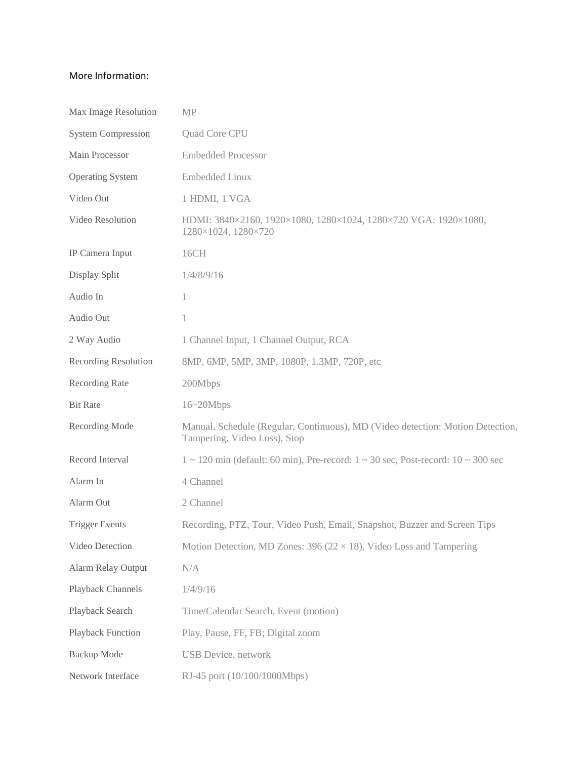## More Information:

| Max Image Resolution        | <b>MP</b>                                                                                                      |
|-----------------------------|----------------------------------------------------------------------------------------------------------------|
| <b>System Compression</b>   | <b>Quad Core CPU</b>                                                                                           |
| Main Processor              | <b>Embedded Processor</b>                                                                                      |
| <b>Operating System</b>     | <b>Embedded Linux</b>                                                                                          |
| Video Out                   | 1 HDMI, 1 VGA                                                                                                  |
| Video Resolution            | HDMI: 3840×2160, 1920×1080, 1280×1024, 1280×720 VGA: 1920×1080,<br>1280×1024, 1280×720                         |
| IP Camera Input             | 16CH                                                                                                           |
| Display Split               | 1/4/8/9/16                                                                                                     |
| Audio In                    | 1                                                                                                              |
| Audio Out                   | 1                                                                                                              |
| 2 Way Audio                 | 1 Channel Input, 1 Channel Output, RCA                                                                         |
| <b>Recording Resolution</b> | 8MP, 6MP, 5MP, 3MP, 1080P, 1.3MP, 720P, etc                                                                    |
| Recording Rate              | 200Mbps                                                                                                        |
| <b>Bit Rate</b>             | $16 - 20$ Mbps                                                                                                 |
| Recording Mode              | Manual, Schedule (Regular, Continuous), MD (Video detection: Motion Detection,<br>Tampering, Video Loss), Stop |
| Record Interval             | $1 \sim 120$ min (default: 60 min), Pre-record: $1 \sim 30$ sec, Post-record: $10 \sim 300$ sec                |
| Alarm In                    | 4 Channel                                                                                                      |
| Alarm Out                   | 2 Channel                                                                                                      |
| <b>Trigger Events</b>       | Recording, PTZ, Tour, Video Push, Email, Snapshot, Buzzer and Screen Tips                                      |
| Video Detection             | Motion Detection, MD Zones: 396 ( $22 \times 18$ ), Video Loss and Tampering                                   |
| <b>Alarm Relay Output</b>   | N/A                                                                                                            |
| Playback Channels           | 1/4/9/16                                                                                                       |
| Playback Search             | Time/Calendar Search, Event (motion)                                                                           |
| Playback Function           | Play, Pause, FF, FB; Digital zoom                                                                              |
| <b>Backup</b> Mode          | <b>USB</b> Device, network                                                                                     |
| Network Interface           | RJ-45 port (10/100/1000Mbps)                                                                                   |